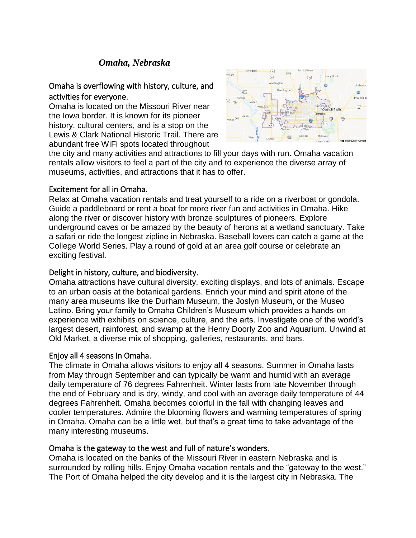# *Omaha, Nebraska*

# Omaha is overflowing with history, culture, and activities for everyone.

Omaha is located on the Missouri River near the Iowa border. It is known for its pioneer history, cultural centers, and is a stop on the Lewis & Clark National Historic Trail. There are abundant free WiFi spots located throughout



the city and many activities and attractions to fill your days with run. Omaha vacation rentals allow visitors to feel a part of the city and to experience the diverse array of museums, activities, and attractions that it has to offer.

#### Excitement for all in Omaha.

Relax at Omaha vacation rentals and treat yourself to a ride on a riverboat or gondola. Guide a paddleboard or rent a boat for more river fun and activities in Omaha. Hike along the river or discover history with bronze sculptures of pioneers. Explore underground caves or be amazed by the beauty of herons at a wetland sanctuary. Take a safari or ride the longest zipline in Nebraska. Baseball lovers can catch a game at the College World Series. Play a round of gold at an area golf course or celebrate an exciting festival.

### Delight in history, culture, and biodiversity.

Omaha attractions have cultural diversity, exciting displays, and lots of animals. Escape to an urban oasis at the botanical gardens. Enrich your mind and spirit atone of the many area museums like the Durham Museum, the Joslyn Museum, or the Museo Latino. Bring your family to Omaha Children's Museum which provides a hands-on experience with exhibits on science, culture, and the arts. Investigate one of the world's largest desert, rainforest, and swamp at the Henry Doorly Zoo and Aquarium. Unwind at Old Market, a diverse mix of shopping, galleries, restaurants, and bars.

# Enjoy all 4 seasons in Omaha.

The climate in Omaha allows visitors to enjoy all 4 seasons. Summer in Omaha lasts from May through September and can typically be warm and humid with an average daily temperature of 76 degrees Fahrenheit. Winter lasts from late November through the end of February and is dry, windy, and cool with an average daily temperature of 44 degrees Fahrenheit. Omaha becomes colorful in the fall with changing leaves and cooler temperatures. Admire the blooming flowers and warming temperatures of spring in Omaha. Omaha can be a little wet, but that's a great time to take advantage of the many interesting museums.

#### Omaha is the gateway to the west and full of nature's wonders.

Omaha is located on the banks of the Missouri River in eastern Nebraska and is surrounded by rolling hills. Enjoy Omaha vacation rentals and the "gateway to the west." The Port of Omaha helped the city develop and it is the largest city in Nebraska. The